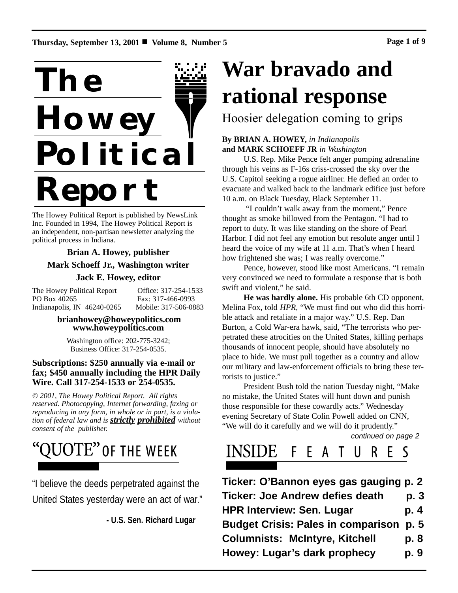**Thursday, September 13, 2001** ! **Volume 8, Number 5 Page 1 of 9**



The Howey Political Report is published by NewsLink Inc. Founded in 1994, The Howey Political Report is an independent, non-partisan newsletter analyzing the political process in Indiana.

## **Brian A. Howey, publisher**

### **Mark Schoeff Jr., Washington writer**

### **Jack E. Howey, editor**

The Howey Political Report Office: 317-254-1533 PO Box 40265 Fax: 317-466-0993 Indianapolis, IN 46240-0265 Mobile: 317-506-0883

#### **brianhowey@howeypolitics.com www.howeypolitics.com**

Washington office: 202-775-3242; Business Office: 317-254-0535.

### **Subscriptions: \$250 annually via e-mail or fax; \$450 annually including the HPR Daily Wire. Call 317-254-1533 or 254-0535.**

*© 2001, The Howey Political Report. All rights reserved. Photocopying, Internet forwarding, faxing or reproducing in any form, in whole or in part, is a violation of federal law and is strictly prohibited without consent of the publisher.*

# QUOTE" OF THE WEEK

"I believe the deeds perpetrated against the United States yesterday were an act of war."

**- U.S. Sen. Richard Lugar**

# **War bravado and rational response**

Hoosier delegation coming to grips

## **By BRIAN A. HOWEY,** *in Indianapolis* **and MARK SCHOEFF JR** *in Washington*

U.S. Rep. Mike Pence felt anger pumping adrenaline through his veins as F-16s criss-crossed the sky over the U.S. Capitol seeking a rogue airliner. He defied an order to evacuate and walked back to the landmark edifice just before 10 a.m. on Black Tuesday, Black September 11.

"I couldn't walk away from the moment," Pence thought as smoke billowed from the Pentagon. "I had to report to duty. It was like standing on the shore of Pearl Harbor. I did not feel any emotion but resolute anger until I heard the voice of my wife at 11 a.m. That's when I heard how frightened she was; I was really overcome."

Pence, however, stood like most Americans. "I remain very convinced we need to formulate a response that is both swift and violent," he said.

**He was hardly alone.** His probable 6th CD opponent, Melina Fox, told *HPR*, "We must find out who did this horrible attack and retaliate in a major way." U.S. Rep. Dan Burton, a Cold War-era hawk, said, "The terrorists who perpetrated these atrocities on the United States, killing perhaps thousands of innocent people, should have absolutely no place to hide. We must pull together as a country and allow our military and law-enforcement officials to bring these terrorists to justice."

President Bush told the nation Tuesday night, "Make no mistake, the United States will hunt down and punish those responsible for these cowardly acts." Wednesday evening Secretary of State Colin Powell added on CNN, "We will do it carefully and we will do it prudently."

*continued on page 2*

#### NSIDE F. E A U R Ł  $\mathcal{S}_{\mathcal{S}}$

| Ticker: O'Bannon eyes gas gauging p. 2         |      |
|------------------------------------------------|------|
| <b>Ticker: Joe Andrew defies death</b>         | p. 3 |
| <b>HPR Interview: Sen. Lugar</b>               | p. 4 |
| <b>Budget Crisis: Pales in comparison p. 5</b> |      |
| <b>Columnists: McIntyre, Kitchell</b>          | p. 8 |
| Howey: Lugar's dark prophecy                   | p. 9 |
|                                                |      |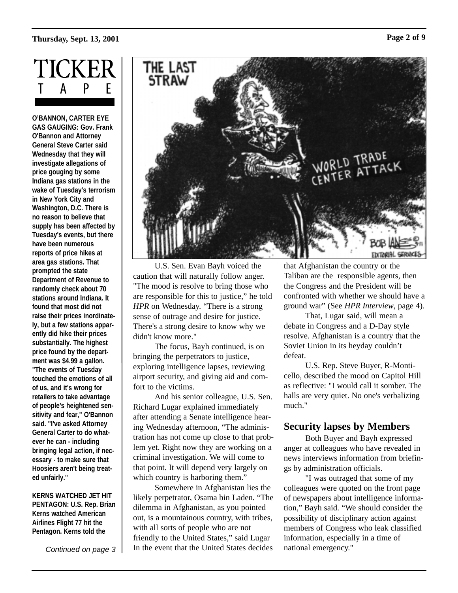# **Thursday, Sept. 13, 2001 Page 2 of 9**



**O'BANNON, CARTER EYE GAS GAUGING: Gov. Frank O'Bannon and Attorney General Steve Carter said Wednesday that they will investigate allegations of price gouging by some Indiana gas stations in the wake of Tuesday's terrorism in New York City and Washington, D.C. There is no reason to believe that supply has been affected by Tuesday's events, but there have been numerous reports of price hikes at area gas stations. That prompted the state Department of Revenue to randomly check about 70 stations around Indiana. It found that most did not raise their prices inordinately, but a few stations apparently did hike their prices substantially. The highest price found by the department was \$4.99 a gallon. "The events of Tuesday touched the emotions of all of us, and it's wrong for retailers to take advantage of people's heightened sensitivity and fear," O'Bannon said. "I've asked Attorney General Carter to do whatever he can - including bringing legal action, if necessary - to make sure that Hoosiers aren't being treated unfairly."**

**KERNS WATCHED JET HIT PENTAGON: U.S. Rep. Brian Kerns watched American Airlines Flight 77 hit the Pentagon. Kerns told the**

*Continued on page 3*



U.S. Sen. Evan Bayh voiced the caution that will naturally follow anger. "The mood is resolve to bring those who are responsible for this to justice," he told *HPR* on Wednesday. "There is a strong sense of outrage and desire for justice. There's a strong desire to know why we didn't know more."

The focus, Bayh continued, is on bringing the perpetrators to justice, exploring intelligence lapses, reviewing airport security, and giving aid and comfort to the victims.

And his senior colleague, U.S. Sen. Richard Lugar explained immediately after attending a Senate intelligence hearing Wednesday afternoon, "The administration has not come up close to that problem yet. Right now they are working on a criminal investigation. We will come to that point. It will depend very largely on which country is harboring them."

Somewhere in Afghanistan lies the likely perpetrator, Osama bin Laden. "The dilemma in Afghanistan, as you pointed out, is a mountainous country, with tribes, with all sorts of people who are not friendly to the United States," said Lugar In the event that the United States decides

that Afghanistan the country or the Taliban are the responsible agents, then the Congress and the President will be confronted with whether we should have a ground war" (See *HPR Interview*, page 4).

That, Lugar said, will mean a debate in Congress and a D-Day style resolve. Afghanistan is a country that the Soviet Union in its heyday couldn't defeat.

U.S. Rep. Steve Buyer, R-Monticello, described the mood on Capitol Hill as reflective: "I would call it somber. The halls are very quiet. No one's verbalizing much."

# **Security lapses by Members**

Both Buyer and Bayh expressed anger at colleagues who have revealed in news interviews information from briefings by administration officials.

"I was outraged that some of my colleagues were quoted on the front page of newspapers about intelligence information," Bayh said. "We should consider the possibility of disciplinary action against members of Congress who leak classified information, especially in a time of national emergency."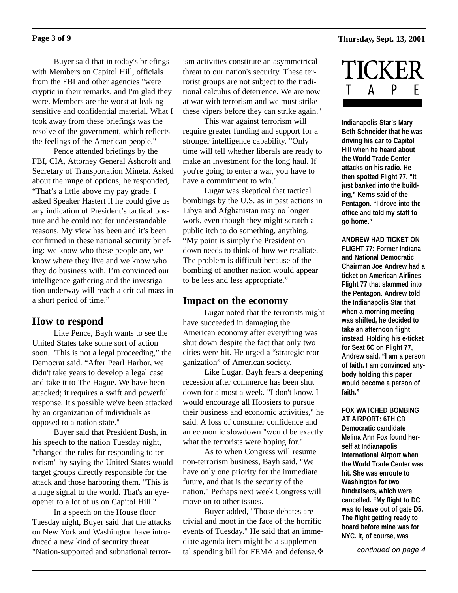#### **Thursday, Sept. 13, 2001**

#### **Page 3 of 9**

Buyer said that in today's briefings with Members on Capitol Hill, officials from the FBI and other agencies "were cryptic in their remarks, and I'm glad they were. Members are the worst at leaking sensitive and confidential material. What I took away from these briefings was the resolve of the government, which reflects the feelings of the American people."

Pence attended briefings by the FBI, CIA, Attorney General Ashcroft and Secretary of Transportation Mineta. Asked about the range of options, he responded, "That's a little above my pay grade. I asked Speaker Hastert if he could give us any indication of President's tactical posture and he could not for understandable reasons. My view has been and it's been confirmed in these national security briefing: we know who these people are, we know where they live and we know who they do business with. I'm convinced our intelligence gathering and the investigation underway will reach a critical mass in a short period of time."

## **How to respond**

Like Pence, Bayh wants to see the United States take some sort of action soon. "This is not a legal proceeding," the Democrat said. "After Pearl Harbor, we didn't take years to develop a legal case and take it to The Hague. We have been attacked; it requires a swift and powerful response. It's possible we've been attacked by an organization of individuals as opposed to a nation state."

Buyer said that President Bush, in his speech to the nation Tuesday night, "changed the rules for responding to terrorism" by saying the United States would target groups directly responsible for the attack and those harboring them. "This is a huge signal to the world. That's an eyeopener to a lot of us on Capitol Hill."

In a speech on the House floor Tuesday night, Buyer said that the attacks on New York and Washington have introduced a new kind of security threat. "Nation-supported and subnational terrorism activities constitute an asymmetrical threat to our nation's security. These terrorist groups are not subject to the traditional calculus of deterrence. We are now at war with terrorism and we must strike these vipers before they can strike again."

This war against terrorism will require greater funding and support for a stronger intelligence capability. "Only time will tell whether liberals are ready to make an investment for the long haul. If you're going to enter a war, you have to have a commitment to win."

Lugar was skeptical that tactical bombings by the U.S. as in past actions in Libya and Afghanistan may no longer work, even though they might scratch a public itch to do something, anything. "My point is simply the President on down needs to think of how we retaliate. The problem is difficult because of the bombing of another nation would appear to be less and less appropriate."

# **Impact on the economy**

Lugar noted that the terrorists might have succeeded in damaging the American economy after everything was shut down despite the fact that only two cities were hit. He urged a "strategic reorganization" of American society.

Like Lugar, Bayh fears a deepening recession after commerce has been shut down for almost a week. "I don't know. I would encourage all Hoosiers to pursue their business and economic activities," he said. A loss of consumer confidence and an economic slowdown "would be exactly what the terrorists were hoping for."

As to when Congress will resume non-terrorism business, Bayh said, "We have only one priority for the immediate future, and that is the security of the nation." Perhaps next week Congress will move on to other issues.

Buyer added, "Those debates are trivial and moot in the face of the horrific events of Tuesday." He said that an immediate agenda item might be a supplemental spending bill for FEMA and defense. $\mathbf{\hat{*}}$ 



**Indianapolis Star's Mary Beth Schneider that he was driving his car to Capitol Hill when he heard about the World Trade Center attacks on his radio. He then spotted Flight 77. "It just banked into the building," Kerns said of the Pentagon. "I drove into the office and told my staff to go home."**

**ANDREW HAD TICKET ON FLIGHT 77: Former Indiana and National Democratic Chairman Joe Andrew had a ticket on American Airlines Flight 77 that slammed into the Pentagon. Andrew told the Indianapolis Star that when a morning meeting was shifted, he decided to take an afternoon flight instead. Holding his e-ticket for Seat 6C on Flight 77, Andrew said, "I am a person of faith. I am convinced anybody holding this paper would become a person of faith."**

**FOX WATCHED BOMBING AT AIRPORT: 6TH CD Democratic candidate Melina Ann Fox found herself at Indianapolis International Airport when the World Trade Center was hit. She was enroute to Washington for two fundraisers, which were cancelled. "My flight to DC was to leave out of gate D5. The flight getting ready to board before mine was for NYC. It, of course, was**

*continued on page 4*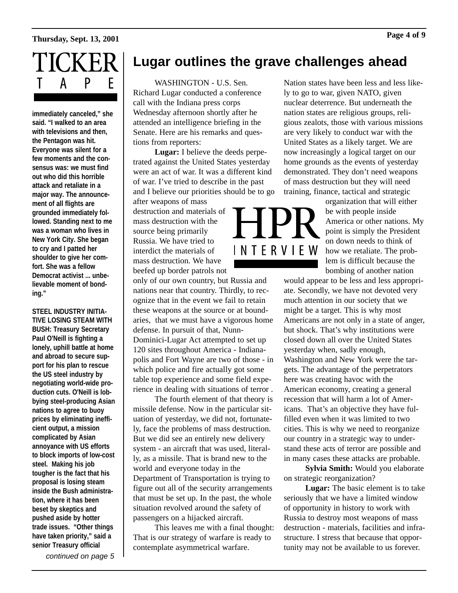# **Thursday, Sept. 13, 2001 Page 4 of 9**



**immediately canceled," she said. "I walked to an area with televisions and then, the Pentagon was hit. Everyone was silent for a few moments and the consensus was: we must find out who did this horrible attack and retaliate in a major way. The announcement of all flights are grounded immediately followed. Standing next to me was a woman who lives in New York City. She began to cry and I patted her shoulder to give her comfort. She was a fellow Democrat activist ... unbelievable moment of bonding."** 

**STEEL INDUSTRY INITIA-TIVE LOSING STEAM WITH BUSH: Treasury Secretary Paul O'Neill is fighting a lonely, uphill battle at home and abroad to secure support for his plan to rescue the US steel industry by negotiating world-wide production cuts. O'Neill is lobbying steel-producing Asian nations to agree to buoy prices by eliminating inefficient output, a mission complicated by Asian annoyance with US efforts to block imports of low-cost steel. Making his job tougher is the fact that his proposal is losing steam inside the Bush administration, where it has been beset by skeptics and pushed aside by hotter trade issues. "Other things have taken priority," said a senior Treasury official**

*continued on page 5*

# **Lugar outlines the grave challenges ahead**

WASHINGTON - U.S. Sen. Richard Lugar conducted a conference call with the Indiana press corps Wednesday afternoon shortly after he attended an intelligence briefing in the Senate. Here are his remarks and questions from reporters:

**Lugar:** I believe the deeds perpetrated against the United States yesterday were an act of war. It was a different kind of war. I've tried to describe in the past and I believe our priorities should be to go

after weapons of mass destruction and materials of mass destruction with the source being primarily Russia. We have tried to interdict the materials of mass destruction. We have beefed up border patrols not

only of our own country, but Russia and nations near that country. Thirdly, to recognize that in the event we fail to retain these weapons at the source or at boundaries, that we must have a vigorous home defense. In pursuit of that, Nunn-Dominici-Lugar Act attempted to set up 120 sites throughout America - Indianapolis and Fort Wayne are two of those - in which police and fire actually got some table top experience and some field experience in dealing with situations of terror .

The fourth element of that theory is missile defense. Now in the particular situation of yesterday, we did not, fortunately, face the problems of mass destruction. But we did see an entirely new delivery system - an aircraft that was used, literally, as a missile. That is brand new to the world and everyone today in the Department of Transportation is trying to figure out all of the security arrangements that must be set up. In the past, the whole situation revolved around the safety of passengers on a hijacked aircraft.

This leaves me with a final thought: That is our strategy of warfare is ready to contemplate asymmetrical warfare.

Nation states have been less and less likely to go to war, given NATO, given nuclear deterrence. But underneath the nation states are religious groups, religious zealots, those with various missions are very likely to conduct war with the United States as a likely target. We are now increasingly a logical target on our home grounds as the events of yesterday demonstrated. They don't need weapons of mass destruction but they will need training, finance, tactical and strategic



organization that will either be with people inside America or other nations. My point is simply the President on down needs to think of how we retaliate. The problem is difficult because the bombing of another nation

would appear to be less and less appropriate. Secondly, we have not devoted very much attention in our society that we might be a target. This is why most Americans are not only in a state of anger, but shock. That's why institutions were closed down all over the United States yesterday when, sadly enough, Washington and New York were the targets. The advantage of the perpetrators here was creating havoc with the American economy, creating a general recession that will harm a lot of Americans. That's an objective they have fulfilled even when it was limited to two cities. This is why we need to reorganize our country in a strategic way to understand these acts of terror are possible and in many cases these attacks are probable.

**Sylvia Smith:** Would you elaborate on strategic reorganization?

**Lugar:** The basic element is to take seriously that we have a limited window of opportunity in history to work with Russia to destroy most weapons of mass destruction - materials, facilities and infrastructure. I stress that because that opportunity may not be available to us forever.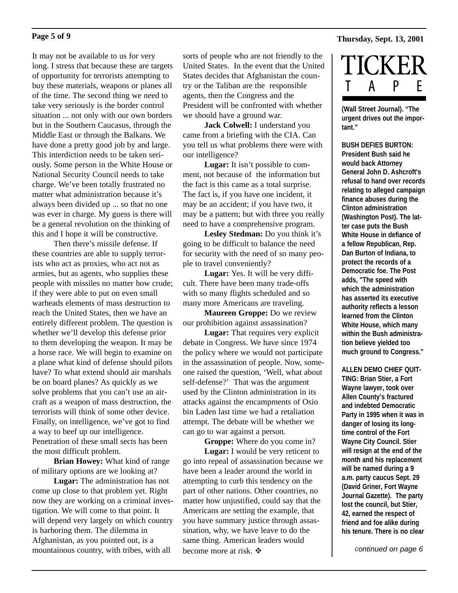It may not be available to us for very long. I stress that because these are targets of opportunity for terrorists attempting to buy these materials, weapons or planes all of the time. The second thing we need to take very seriously is the border control situation ... not only with our own borders but in the Southern Caucasus, through the Middle East or through the Balkans. We have done a pretty good job by and large. This interdiction needs to be taken seriously. Some person in the White House or National Security Council needs to take charge. We've been totally frustrated no matter what administration because it's always been divided up ... so that no one was ever in charge. My guess is there will be a general revolution on the thinking of this and I hope it will be constructive.

Then there's missile defense. If these countries are able to supply terrorists who act as proxies, who act not as armies, but as agents, who supplies these people with missiles no matter how crude; if they were able to put on even small warheads elements of mass destruction to reach the United States, then we have an entirely different problem. The question is whether we'll develop this defense prior to them developing the weapon. It may be a horse race. We will begin to examine on a plane what kind of defense should pilots have? To what extend should air marshals be on board planes? As quickly as we solve problems that you can't use an aircraft as a weapon of mass destruction, the terrorists will think of some other device. Finally, on intelligence, we've got to find a way to beef up our intelligence. Penetration of these small sects has been the most difficult problem.

**Brian Howey:** What kind of range of military options are we looking at?

**Lugar:** The administration has not come up close to that problem yet. Right now they are working on a criminal investigation. We will come to that point. It will depend very largely on which country is harboring them. The dilemma in Afghanistan, as you pointed out, is a mountainous country, with tribes, with all

sorts of people who are not friendly to the United States. In the event that the United States decides that Afghanistan the country or the Taliban are the responsible agents, then the Congress and the President will be confronted with whether we should have a ground war.

**Jack Colwell:** I understand you came from a briefing with the CIA. Can you tell us what problems there were with our intelligence?

**Lugar:** It isn't possible to comment, not because of the information but the fact is this came as a total surprise. The fact is, if you have one incident, it may be an accident; if you have two, it may be a pattern; but with three you really need to have a comprehensive program.

**Lesley Stedman:** Do you think it's going to be difficult to balance the need for security with the need of so many people to travel conveniently?

**Lugar:** Yes. It will be very difficult. There have been many trade-offs with so many flights scheduled and so many more Americans are traveling.

**Maureen Groppe:** Do we review our prohibition against assassination?

**Lugar:** That requires very explicit debate in Congress. We have since 1974 the policy where we would not participate in the assassination of people. Now, someone raised the question, 'Well, what about self-defense?' That was the argument used by the Clinton administration in its attacks against the encampments of Osio bin Laden last time we had a retaliation attempt. The debate will be whether we can go to war against a person.

**Groppe:** Where do you come in? **Lugar:** I would be very reticent to go into repeal of assassination because we have been a leader around the world in attempting to curb this tendency on the part of other nations. Other countries, no matter how unjustified, could say that the Americans are setting the example, that you have summary justice through assassination, why, we have leave to do the same thing. American leaders would become more at risk.  $\mathbf{\hat{P}}$ 

# **Thursday, Sept. 13, 2001 Page 5 of 9**



**(Wall Street Journal). "The urgent drives out the important."** 

**BUSH DEFIES BURTON: President Bush said he would back Attorney General John D. Ashcroft's refusal to hand over records relating to alleged campaign finance abuses during the Clinton administration (Washington Post). The latter case puts the Bush White House in defiance of a fellow Republican, Rep. Dan Burton of Indiana, to protect the records of a Democratic foe. The Post adds, "The speed with which the administration has asserted its executive authority reflects a lesson learned from the Clinton White House, which many within the Bush administration believe yielded too much ground to Congress."** 

**ALLEN DEMO CHIEF QUIT-TING: Brian Stier, a Fort Wayne lawyer, took over Allen County's fractured and indebted Democratic Party in 1995 when it was in danger of losing its longtime control of the Fort Wayne City Council. Stier will resign at the end of the month and his replacement will be named during a 9 a.m. party caucus Sept. 29 (David Griner, Fort Wayne Journal Gazette). The party lost the council, but Stier, 42, earned the respect of friend and foe alike during his tenure. There is no clear**

*continued on page 6*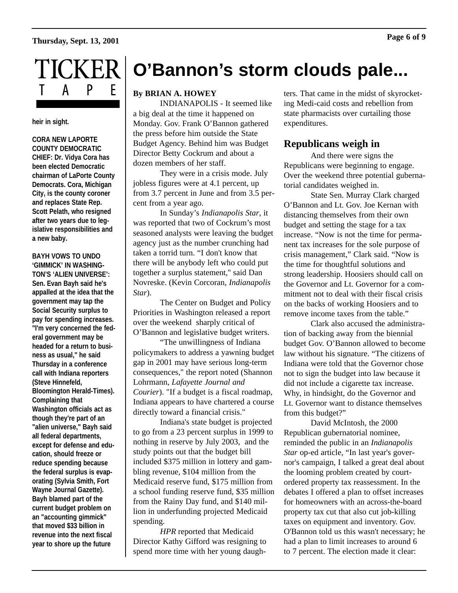# **Thursday, Sept. 13, 2001 Page 6 of 9**



**heir in sight.** 

**CORA NEW LAPORTE COUNTY DEMOCRATIC CHIEF: Dr. Vidya Cora has been elected Democratic chairman of LaPorte County Democrats. Cora, Michigan City, is the county coroner and replaces State Rep. Scott Pelath, who resigned after two years due to legislative responsibilities and a new baby.**

**BAYH VOWS TO UNDO 'GIMMICK' IN WASHING-TON'S 'ALIEN UNIVERSE': Sen. Evan Bayh said he's appalled at the idea that the government may tap the Social Security surplus to pay for spending increases. "I'm very concerned the federal government may be headed for a return to business as usual," he said Thursday in a conference call with Indiana reporters (Steve Hinnefeld, Bloomington Herald-Times). Complaining that Washington officials act as though they're part of an "alien universe," Bayh said all federal departments, except for defense and education, should freeze or reduce spending because the federal surplus is evaporating (Sylvia Smith, Fort Wayne Journal Gazette). Bayh blamed part of the current budget problem on an "accounting gimmick" that moved \$33 billion in revenue into the next fiscal year to shore up the future**

# **O'Bannon's storm clouds pale...**

#### **By BRIAN A. HOWEY**

INDIANAPOLIS - It seemed like a big deal at the time it happened on Monday. Gov. Frank O'Bannon gathered the press before him outside the State Budget Agency. Behind him was Budget Director Betty Cockrum and about a dozen members of her staff.

They were in a crisis mode. July jobless figures were at 4.1 percent, up from 3.7 percent in June and from 3.5 percent from a year ago.

In Sunday's *Indianapolis Star*, it was reported that two of Cockrum's most seasoned analysts were leaving the budget agency just as the number crunching had taken a torrid turn. "I don't know that there will be anybody left who could put together a surplus statement,'' said Dan Novreske. (Kevin Corcoran, *Indianapolis Star*).

The Center on Budget and Policy Priorities in Washington released a report over the weekend sharply critical of O'Bannon and legislative budget writers.

"The unwillingness of Indiana policymakers to address a yawning budget gap in 2001 may have serious long-term consequences," the report noted (Shannon Lohrmann, *Lafayette Journal and Courier*). "If a budget is a fiscal roadmap, Indiana appears to have chartered a course directly toward a financial crisis."

Indiana's state budget is projected to go from a 23 percent surplus in 1999 to nothing in reserve by July 2003, and the study points out that the budget bill included \$375 million in lottery and gambling revenue, \$104 million from the Medicaid reserve fund, \$175 million from a school funding reserve fund, \$35 million from the Rainy Day fund, and \$140 million in underfunding projected Medicaid spending.

*HPR* reported that Medicaid Director Kathy Gifford was resigning to spend more time with her young daughters. That came in the midst of skyrocketing Medi-caid costs and rebellion from state pharmacists over curtailing those expenditures.

# **Republicans weigh in**

And there were signs the Republicans were beginning to engage. Over the weekend three potential gubernatorial candidates weighed in.

State Sen. Murray Clark charged O'Bannon and Lt. Gov. Joe Kernan with distancing themselves from their own budget and setting the stage for a tax increase. "Now is not the time for permanent tax increases for the sole purpose of crisis management," Clark said. "Now is the time for thoughtful solutions and strong leadership. Hoosiers should call on the Governor and Lt. Governor for a commitment not to deal with their fiscal crisis on the backs of working Hoosiers and to remove income taxes from the table."

Clark also accused the administration of backing away from the biennial budget Gov. O'Bannon allowed to become law without his signature. "The citizens of Indiana were told that the Governor chose not to sign the budget into law because it did not include a cigarette tax increase. Why, in hindsight, do the Governor and Lt. Governor want to distance themselves from this budget?"

David McIntosh, the 2000 Republican gubernatorial nominee, reminded the public in an *Indianapolis Star* op-ed article, "In last year's governor's campaign, I talked a great deal about the looming problem created by courtordered property tax reassessment. In the debates I offered a plan to offset increases for homeowners with an across-the-board property tax cut that also cut job-killing taxes on equipment and inventory. Gov. O'Bannon told us this wasn't necessary; he had a plan to limit increases to around 6 to 7 percent. The election made it clear: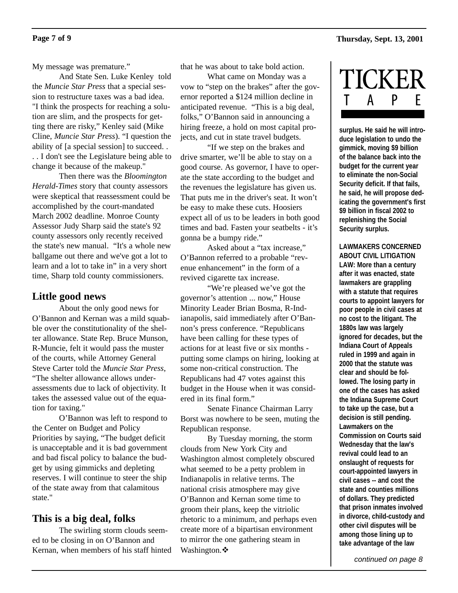My message was premature."

And State Sen. Luke Kenley told the *Muncie Star Press* that a special session to restructure taxes was a bad idea. "I think the prospects for reaching a solution are slim, and the prospects for getting there are risky," Kenley said (Mike Cline, *Muncie Star Press*). "I question the ability of [a special session] to succeed. . . . I don't see the Legislature being able to change it because of the makeup."

Then there was the *Bloomington Herald-Times* story that county assessors were skeptical that reassessment could be accomplished by the court-mandated March 2002 deadline. Monroe County Assessor Judy Sharp said the state's 92 county assessors only recently received the state's new manual. "It's a whole new ballgame out there and we've got a lot to learn and a lot to take in" in a very short time, Sharp told county commissioners.

# **Little good news**

About the only good news for O'Bannon and Kernan was a mild squabble over the constitutionality of the shelter allowance. State Rep. Bruce Munson, R-Muncie, felt it would pass the muster of the courts, while Attorney General Steve Carter told the *Muncie Star Press*, "The shelter allowance allows underassessments due to lack of objectivity. It takes the assessed value out of the equation for taxing."

O'Bannon was left to respond to the Center on Budget and Policy Priorities by saying, "The budget deficit is unacceptable and it is bad government and bad fiscal policy to balance the budget by using gimmicks and depleting reserves. I will continue to steer the ship of the state away from that calamitous state."

# **This is a big deal, folks**

The swirling storm clouds seemed to be closing in on O'Bannon and Kernan, when members of his staff hinted that he was about to take bold action.

What came on Monday was a vow to "step on the brakes" after the governor reported a \$124 million decline in anticipated revenue. "This is a big deal, folks," O'Bannon said in announcing a hiring freeze, a hold on most capital projects, and cut in state travel budgets.

"If we step on the brakes and drive smarter, we'll be able to stay on a good course. As governor, I have to operate the state according to the budget and the revenues the legislature has given us. That puts me in the driver's seat. It won't be easy to make these cuts. Hoosiers expect all of us to be leaders in both good times and bad. Fasten your seatbelts - it's gonna be a bumpy ride."

Asked about a "tax increase," O'Bannon referred to a probable "revenue enhancement" in the form of a revived cigarette tax increase.

"We're pleased we've got the governor's attention ... now," House Minority Leader Brian Bosma, R-Indianapolis, said immediately after O'Bannon's press conference. "Republicans have been calling for these types of actions for at least five or six months putting some clamps on hiring, looking at some non-critical construction. The Republicans had 47 votes against this budget in the House when it was considered in its final form."

Senate Finance Chairman Larry Borst was nowhere to be seen, muting the Republican response.

By Tuesday morning, the storm clouds from New York City and Washington almost completely obscured what seemed to be a petty problem in Indianapolis in relative terms. The national crisis atmosphere may give O'Bannon and Kernan some time to groom their plans, keep the vitriolic rhetoric to a minimum, and perhaps even create more of a bipartisan environment to mirror the one gathering steam in Washington. $\cdot$ 



**surplus. He said he will introduce legislation to undo the gimmick, moving \$9 billion of the balance back into the budget for the current year to eliminate the non-Social Security deficit. If that fails, he said, he will propose dedicating the government's first \$9 billion in fiscal 2002 to replenishing the Social Security surplus.** 

#### **LAWMAKERS CONCERNED ABOUT CIVIL LITIGATION**

**LAW: More than a century after it was enacted, state lawmakers are grappling with a statute that requires courts to appoint lawyers for poor people in civil cases at no cost to the litigant. The 1880s law was largely ignored for decades, but the Indiana Court of Appeals ruled in 1999 and again in 2000 that the statute was clear and should be followed. The losing party in one of the cases has asked the Indiana Supreme Court to take up the case, but a decision is still pending. Lawmakers on the Commission on Courts said Wednesday that the law's revival could lead to an onslaught of requests for court-appointed lawyers in civil cases -- and cost the state and counties millions of dollars. They predicted that prison inmates involved in divorce, child-custody and other civil disputes will be among those lining up to take advantage of the law**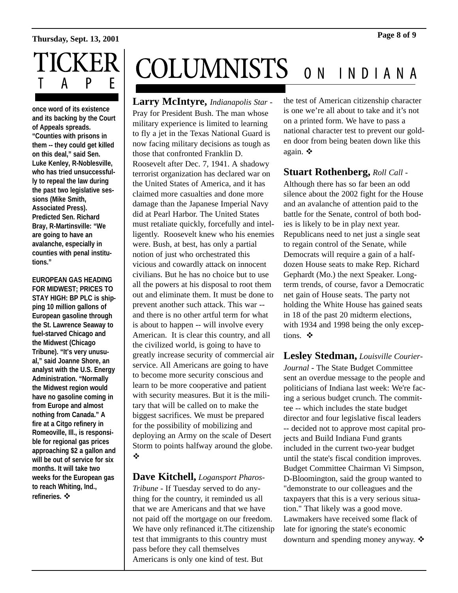# **Thursday, Sept. 13, 2001 Page 8 of 9**



**once word of its existence and its backing by the Court of Appeals spreads. "Counties with prisons in them -- they could get killed on this deal," said Sen. Luke Kenley, R-Noblesville, who has tried unsuccessfully to repeal the law during the past two legislative sessions (Mike Smith, Associated Press). Predicted Sen. Richard Bray, R-Martinsville: "We are going to have an avalanche, especially in counties with penal institutions."** 

**EUROPEAN GAS HEADING FOR MIDWEST; PRICES TO STAY HIGH: BP PLC is shipping 10 million gallons of European gasoline through the St. Lawrence Seaway to fuel-starved Chicago and the Midwest (Chicago Tribune). "It's very unusual," said Joanne Shore, an analyst with the U.S. Energy Administration. "Normally the Midwest region would have no gasoline coming in from Europe and almost nothing from Canada." A fire at a Citgo refinery in Romeoville, Ill., is responsible for regional gas prices approaching \$2 a gallon and will be out of service for six months. It will take two weeks for the European gas to reach Whiting, Ind.,** refineries. **※** 

# **COLUMNISTS** ON INDIANA

**Larry McIntyre,** *Indianapolis Star* - Pray for President Bush. The man whose military experience is limited to learning to fly a jet in the Texas National Guard is now facing military decisions as tough as those that confronted Franklin D. Roosevelt after Dec. 7, 1941. A shadowy terrorist organization has declared war on the United States of America, and it has claimed more casualties and done more damage than the Japanese Imperial Navy did at Pearl Harbor. The United States must retaliate quickly, forcefully and intelligently. Roosevelt knew who his enemies were. Bush, at best, has only a partial notion of just who orchestrated this vicious and cowardly attack on innocent civilians. But he has no choice but to use all the powers at his disposal to root them out and eliminate them. It must be done to prevent another such attack. This war - and there is no other artful term for what is about to happen -- will involve every American. It is clear this country, and all the civilized world, is going to have to greatly increase security of commercial air service. All Americans are going to have to become more security conscious and learn to be more cooperative and patient with security measures. But it is the military that will be called on to make the biggest sacrifices. We must be prepared for the possibility of mobilizing and deploying an Army on the scale of Desert Storm to points halfway around the globe. "

# **Dave Kitchell,** *Logansport Pharos-*

*Tribune* - If Tuesday served to do anything for the country, it reminded us all that we are Americans and that we have not paid off the mortgage on our freedom. We have only refinanced it.The citizenship test that immigrants to this country must pass before they call themselves Americans is only one kind of test. But

the test of American citizenship character is one we're all about to take and it's not on a printed form. We have to pass a national character test to prevent our golden door from being beaten down like this again.  $\mathbf{\hat{z}}$ 

# **Stuart Rothenberg,** *Roll Call* -

Although there has so far been an odd silence about the 2002 fight for the House and an avalanche of attention paid to the battle for the Senate, control of both bodies is likely to be in play next year. Republicans need to net just a single seat to regain control of the Senate, while Democrats will require a gain of a halfdozen House seats to make Rep. Richard Gephardt (Mo.) the next Speaker. Longterm trends, of course, favor a Democratic net gain of House seats. The party not holding the White House has gained seats in 18 of the past 20 midterm elections, with 1934 and 1998 being the only exceptions  $\mathbf{\hat{\cdot}}$ 

**Lesley Stedman,** *Louisville Courier-Journal* - The State Budget Committee sent an overdue message to the people and politicians of Indiana last week: We're facing a serious budget crunch. The committee -- which includes the state budget director and four legislative fiscal leaders -- decided not to approve most capital projects and Build Indiana Fund grants included in the current two-year budget until the state's fiscal condition improves. Budget Committee Chairman Vi Simpson, D-Bloomington, said the group wanted to "demonstrate to our colleagues and the taxpayers that this is a very serious situation." That likely was a good move. Lawmakers have received some flack of late for ignoring the state's economic downturn and spending money anyway. ❖